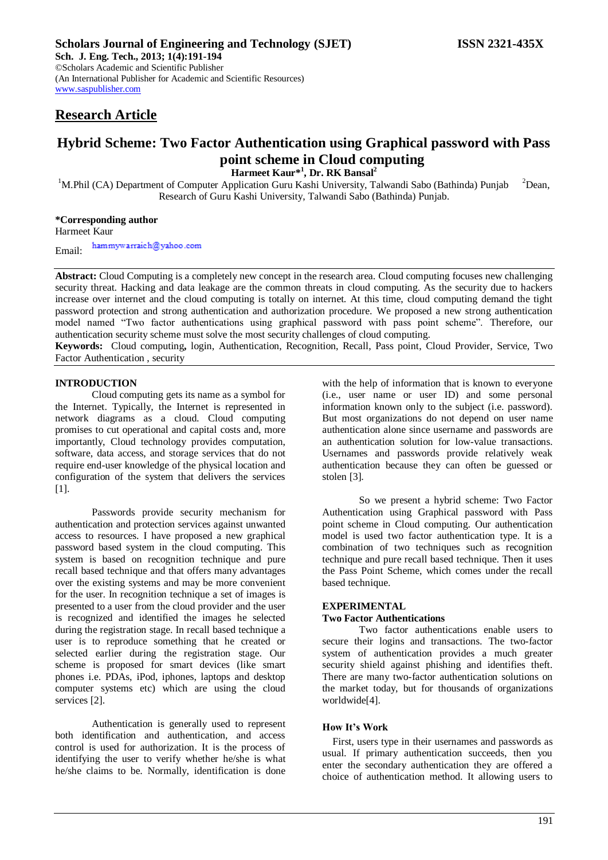## **Research Article**

[www.saspublisher.com](http://www.saspublisher.com/)

# **Hybrid Scheme: Two Factor Authentication using Graphical password with Pass point scheme in Cloud computing**

**Harmeet Kaur\*<sup>1</sup> , Dr. RK Bansal<sup>2</sup>**

<sup>1</sup>M.Phil (CA) Department of Computer Application Guru Kashi University, Talwandi Sabo (Bathinda) Punjab <sup>2</sup>Dean, Research of Guru Kashi University, Talwandi Sabo (Bathinda) Punjab.

## **\*Corresponding author**

Harmeet Kaur

hammywarraich@yahoo.com Email:

**Abstract:** Cloud Computing is a completely new concept in the research area. Cloud computing focuses new challenging security threat. Hacking and data leakage are the common threats in cloud computing. As the security due to hackers increase over internet and the cloud computing is totally on internet. At this time, cloud computing demand the tight password protection and strong authentication and authorization procedure. We proposed a new strong authentication model named "Two factor authentications using graphical password with pass point scheme". Therefore, our authentication security scheme must solve the most security challenges of cloud computing.

**Keywords:** Cloud computing**,** login, Authentication, Recognition, Recall, Pass point, Cloud Provider, Service, Two Factor Authentication , security

## **INTRODUCTION**

Cloud computing gets its name as a symbol for the Internet. Typically, the Internet is represented in network diagrams as a cloud. Cloud computing promises to cut operational and capital costs and, more importantly, Cloud technology provides computation, software, data access, and storage services that do not require end-user knowledge of the physical location and configuration of the system that delivers the services [1].

Passwords provide security mechanism for authentication and protection services against unwanted access to resources. I have proposed a new graphical password based system in the cloud computing. This system is based on recognition technique and pure recall based technique and that offers many advantages over the existing systems and may be more convenient for the user. In recognition technique a set of images is presented to a user from the cloud provider and the user is recognized and identified the images he selected during the registration stage. In recall based technique a user is to reproduce something that he created or selected earlier during the registration stage. Our scheme is proposed for smart devices (like smart phones i.e. PDAs, iPod, iphones, laptops and desktop computer systems etc) which are using the cloud services [2].

Authentication is generally used to represent both identification and authentication, and access control is used for authorization. It is the process of identifying the user to verify whether he/she is what he/she claims to be. Normally, identification is done

with the help of information that is known to everyone (i.e., user name or user ID) and some personal information known only to the subject (i.e. password). But most organizations do not depend on user name authentication alone since username and passwords are an authentication solution for low-value transactions. Usernames and passwords provide relatively weak authentication because they can often be guessed or stolen [3].

So we present a hybrid scheme: Two Factor Authentication using Graphical password with Pass point scheme in Cloud computing. Our authentication model is used two factor authentication type. It is a combination of two techniques such as recognition technique and pure recall based technique. Then it uses the Pass Point Scheme, which comes under the recall based technique.

## **EXPERIMENTAL**

#### **Two Factor Authentications**

Two factor authentications enable users to secure their logins and transactions. The two-factor system of authentication provides a much greater security shield against phishing and identifies theft. There are many two-factor authentication solutions on the market today, but for thousands of organizations worldwide[4].

## **How It's Work**

First, users type in their usernames and passwords as usual. If primary authentication succeeds, then you enter the secondary authentication they are offered a choice of authentication method. It allowing users to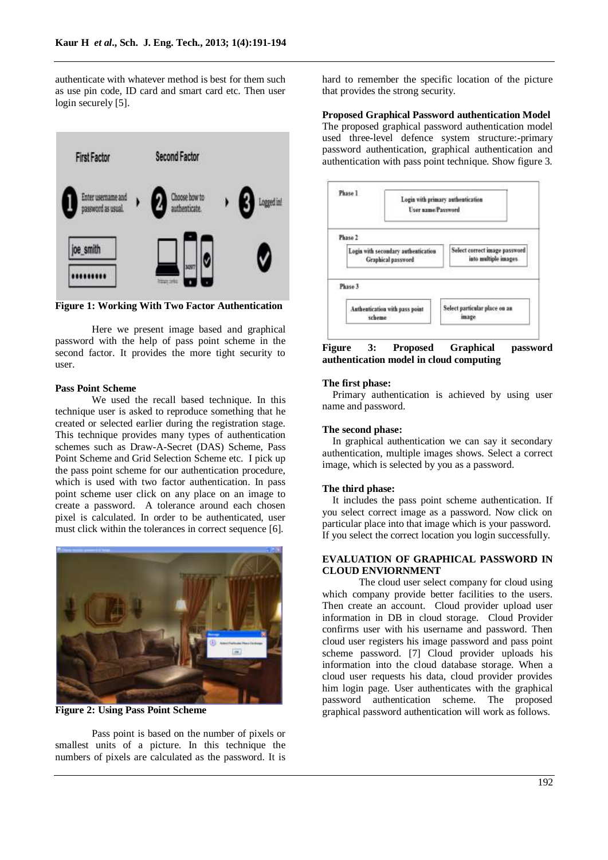authenticate with whatever method is best for them such as use pin code, ID card and smart card etc. Then user login securely [5].



**Figure 1: Working With Two Factor Authentication**

Here we present image based and graphical password with the help of pass point scheme in the second factor. It provides the more tight security to user.

## **Pass Point Scheme**

We used the recall based technique. In this technique user is asked to reproduce something that he created or selected earlier during the registration stage. This technique provides many types of authentication schemes such as Draw-A-Secret (DAS) Scheme, Pass Point Scheme and Grid Selection Scheme etc. I pick up the pass point scheme for our authentication procedure, which is used with two factor authentication. In pass point scheme user click on any place on an image to create a password. A tolerance around each chosen pixel is calculated. In order to be authenticated, user must click within the tolerances in correct sequence [6].



**Figure 2: Using Pass Point Scheme**

Pass point is based on the number of pixels or smallest units of a picture. In this technique the numbers of pixels are calculated as the password. It is

hard to remember the specific location of the picture that provides the strong security.

#### **Proposed Graphical Password authentication Model**

The proposed graphical password authentication model used three-level defence system structure:-primary password authentication, graphical authentication and authentication with pass point technique. Show figure 3.



**Figure 3: Proposed Graphical password authentication model in cloud computing**

#### **The first phase:**

Primary authentication is achieved by using user name and password.

### **The second phase:**

In graphical authentication we can say it secondary authentication, multiple images shows. Select a correct image, which is selected by you as a password.

#### **The third phase:**

It includes the pass point scheme authentication. If you select correct image as a password. Now click on particular place into that image which is your password. If you select the correct location you login successfully.

## **EVALUATION OF GRAPHICAL PASSWORD IN CLOUD ENVIORNMENT**

The cloud user select company for cloud using which company provide better facilities to the users. Then create an account. Cloud provider upload user information in DB in cloud storage. Cloud Provider confirms user with his username and password. Then cloud user registers his image password and pass point scheme password. [7] Cloud provider uploads his information into the cloud database storage. When a cloud user requests his data, cloud provider provides him login page. User authenticates with the graphical password authentication scheme. The proposed graphical password authentication will work as follows.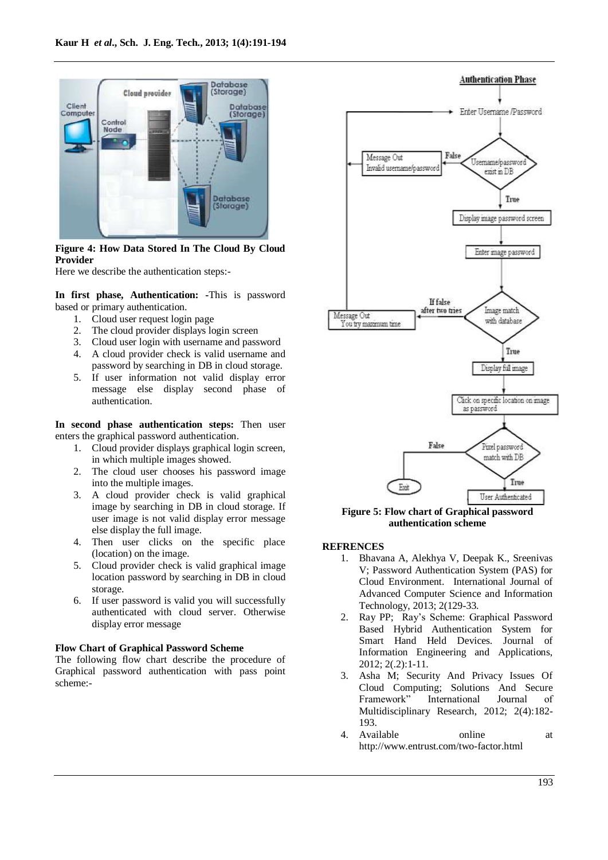

## **Figure 4: How Data Stored In The Cloud By Cloud Provider**

Here we describe the authentication steps:-

**In first phase, Authentication: -**This is password based or primary authentication.

- 1. Cloud user request login page
- 2. The cloud provider displays login screen
- 3. Cloud user login with username and password
- 4. A cloud provider check is valid username and password by searching in DB in cloud storage.
- 5. If user information not valid display error message else display second phase of authentication.

**In second phase authentication steps:** Then user enters the graphical password authentication.

- 1. Cloud provider displays graphical login screen, in which multiple images showed.
- 2. The cloud user chooses his password image into the multiple images.
- 3. A cloud provider check is valid graphical image by searching in DB in cloud storage. If user image is not valid display error message else display the full image.
- 4. Then user clicks on the specific place (location) on the image.
- 5. Cloud provider check is valid graphical image location password by searching in DB in cloud storage.
- 6. If user password is valid you will successfully authenticated with cloud server. Otherwise display error message

#### **Flow Chart of Graphical Password Scheme**

The following flow chart describe the procedure of Graphical password authentication with pass point scheme:-



**Figure 5: Flow chart of Graphical password authentication scheme**

#### **REFRENCES**

- 1. Bhavana A, Alekhya V, Deepak K., Sreenivas V; Password Authentication System (PAS) for Cloud Environment. International Journal of Advanced Computer Science and Information Technology, 2013; 2(129-33.
- 2. Ray PP; Ray's Scheme: Graphical Password Based Hybrid Authentication System for Smart Hand Held Devices. Journal of Information Engineering and Applications, 2012; 2(.2):1-11.
- 3. Asha M; Security And Privacy Issues Of Cloud Computing; Solutions And Secure Framework" International Journal of Multidisciplinary Research, 2012; 2(4):182- 193.
- 4. Available online at http://www.entrust.com/two-factor.html